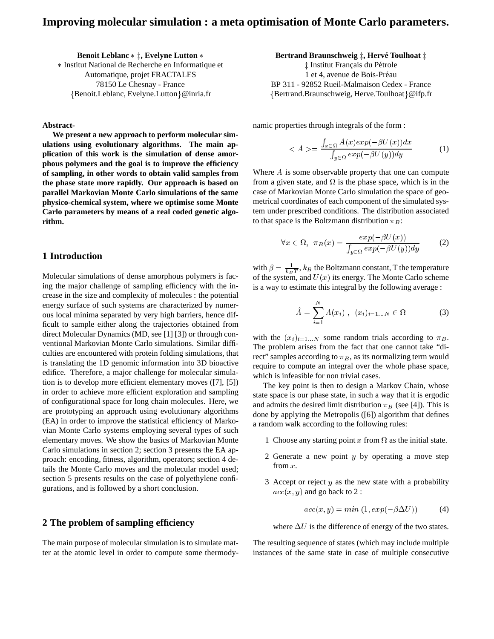# **Improving molecular simulation : a meta optimisation of Monte Carlo parameters.**

**Benoit Leblanc**  $*$   $\ddagger$ , Evelyne Lutton  $*$  Institut National de Recherche en Informatique et Automatique, projet FRACTALES 78150 Le Chesnay - France {Benoit.Leblanc, Evelyne.Lutton}@inria.fr

**Abstract-**

**We present a new approach to perform molecular simulations using evolutionary algorithms. The main application of this work is the simulation of dense amorphous polymers and the goal is to improve the efficiency of sampling, in other words to obtain valid samples from the phase state more rapidly. Our approach is based on parallel Markovian Monte Carlo simulations of the same physico-chemical system, where we optimise some Monte Carlo parameters by means of a real coded genetic algorithm.**

### **1 Introduction**

Molecular simulations of dense amorphous polymers is facing the major challenge of sampling efficiency with the increase in the size and complexity of molecules : the potential energy surface of such systems are characterized by numerous local minima separated by very high barriers, hence difficult to sample either along the trajectories obtained from direct Molecular Dynamics (MD, see [1] [3]) or through conventional Markovian Monte Carlo simulations. Similar difficulties are encountered with protein folding simulations, that is translating the 1D genomic information into 3D bioactive edifice. Therefore, a major challenge for molecular simulation is to develop more efficient elementary moves ([7], [5]) in order to achieve more efficient exploration and sampling of configurational space for long chain molecules. Here, we are prototyping an approach using evolutionary algorithms (EA) in order to improve the statistical efficiency of Markovian Monte Carlo systems employing several types of such elementary moves. We show the basics of Markovian Monte Carlo simulations in section 2; section 3 presents the EA approach: encoding, fitness, algorithm, operators; section 4 details the Monte Carlo moves and the molecular model used; section 5 presents results on the case of polyethylene configurations, and is followed by a short conclusion.

## **2 The problem of sampling efficiency**

The main purpose of molecular simulation is to simulate matter at the atomic level in order to compute some thermody**Bertrand Braunschweig**  $\ddagger$ , Hervé Toulhoat  $\ddagger$ 

‡ Institut Français du Pétrole 1 et 4, avenue de Bois-Préau BP 311 - 92852 Rueil-Malmaison Cedex - France {Bertrand.Braunschweig, Herve.Toulhoat}@ifp.fr

namic properties through integrals of the form :

$$
\langle A \rangle = \frac{\int_{x \in \Omega} A(x) \exp(-\beta U(x)) dx}{\int_{y \in \Omega} \exp(-\beta U(y)) dy} \tag{1}
$$

Where  $A$  is some observable property that one can compute from a given state, and  $\Omega$  is the phase space, which is in the case of Markovian Monte Carlo simulation the space of geometrical coordinates of each component of the simulated system under prescribed conditions. The distribution associated to that space is the Boltzmann distribution  $\pi_B$ :

 $\sim$   $-$ 

$$
\forall x \in \Omega, \ \pi_B(x) = \frac{\exp(-\beta U(x))}{\int_{y \in \Omega} \exp(-\beta U(y)) dy}
$$
 (2)

with  $\beta = \frac{1}{k_B T}$ ,  $k_B$  the Boltzmann constant, T the temperature of the system, and  $U(x)$  its energy. The Monte Carlo scheme is a way to estimate this integral by the following average :

$$
\hat{A} = \sum_{i=1}^{N} A(x_i), \ (x_i)_{i=1...N} \in \Omega
$$
 (3)

with the  $(x_i)_{i=1...N}$  some random trials according to  $\pi_B$ . The problem arises from the fact that one cannot take "direct" samples according to  $\pi_B$ , as its normalizing term would require to compute an integral over the whole phase space, which is infeasible for non trivial cases.

The key point is then to design a Markov Chain, whose state space is our phase state, in such a way that it is ergodic and admits the desired limit distribution  $\pi_B$  (see [4]). This is done by applying the Metropolis ([6]) algorithm that defines a random walk according to the following rules:

- 1 Choose any starting point x from  $\Omega$  as the initial state.
- 2 Generate a new point  $y$  by operating a move step from <sup>x</sup>.
- 3 Accept or reject  $y$  as the new state with a probability  $acc(x, y)$  and go back to 2 :

$$
acc(x, y) = min(1, exp(-\beta \Delta U))
$$
 (4)

where  $\Delta U$  is the difference of energy of the two states.

The resulting sequence of states (which may include multiple instances of the same state in case of multiple consecutive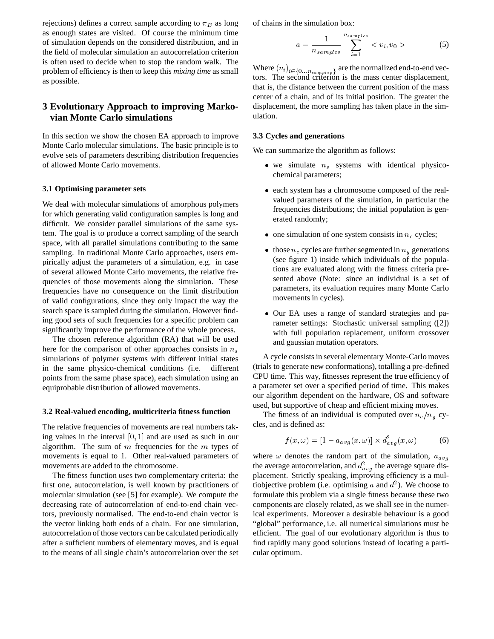rejections) defines a correct sample according to  $\pi_B$  as long as enough states are visited. Of course the minimum time of simulation depends on the considered distribution, and in the field of molecular simulation an autocorrelation criterion is often used to decide when to stop the random walk. The problem of efficiency is then to keep this *mixing time* as small as possible.

## **3 Evolutionary Approach to improving Markovian Monte Carlo simulations**

In this section we show the chosen EA approach to improve Monte Carlo molecular simulations. The basic principle is to evolve sets of parameters describing distribution frequencies of allowed Monte Carlo movements.

#### **3.1 Optimising parameter sets**

We deal with molecular simulations of amorphous polymers for which generating valid configuration samples is long and difficult. We consider parallel simulations of the same system. The goal is to produce a correct sampling of the search space, with all parallel simulations contributing to the same sampling. In traditional Monte Carlo approaches, users empirically adjust the parameters of a simulation, e.g. in case of several allowed Monte Carlo movements, the relative frequencies of those movements along the simulation. These frequencies have no consequence on the limit distribution of valid configurations, since they only impact the way the search space is sampled during the simulation. However finding good sets of such frequencies for a specific problem can significantly improve the performance of the whole process.

The chosen reference algorithm (RA) that will be used here for the comparison of other approaches consists in  $n<sub>s</sub>$ simulations of polymer systems with different initial states in the same physico-chemical conditions (i.e. different points from the same phase space), each simulation using an equiprobable distribution of allowed movements.

#### **3.2 Real-valued encoding, multicriteria fitness function**

The relative frequencies of movements are real numbers taking values in the interval  $[0, 1]$  and are used as such in our algorithm. The sum of  $m$  frequencies for the  $m$  types of movements is equal to 1. Other real-valued parameters of movements are added to the chromosome.

The fitness function uses two complementary criteria: the first one, autocorrelation, is well known by practitioners of molecular simulation (see [5] for example). We compute the decreasing rate of autocorrelation of end-to-end chain vectors, previously normalised. The end-to-end chain vector is the vector linking both ends of a chain. For one simulation, autocorrelation of those vectors can be calculated periodically after a sufficient numbers of elementary moves, and is equal to the means of all single chain's autocorrelation over the set

of chains in the simulation box:

$$
a = \frac{1}{n_{samples}} \sum_{i=1}^{n_{samples}} \langle v_i, v_0 \rangle \tag{5}
$$

Where  $(v_i)_{i \in \{0...n_{samples}\}}$  are the normalized end-to-end vectors. The second criterion is the mass center displacement, that is, the distance between the current position of the mass center of a chain, and of its initial position. The greater the displacement, the more sampling has taken place in the simulation.

#### **3.3 Cycles and generations**

We can summarize the algorithm as follows:

- $\bullet$  we simulate  $n_s$  systems with identical physicochemical parameters;
- each system has a chromosome composed of the realvalued parameters of the simulation, in particular the frequencies distributions; the initial population is generated randomly;
- one simulation of one system consists in  $n_c$  cycles;
- those  $n_c$  cycles are further segmented in  $n_g$  generations (see figure 1) inside which individuals of the populations are evaluated along with the fitness criteria presented above (Note: since an individual is a set of parameters, its evaluation requires many Monte Carlo movements in cycles).
- Our EA uses a range of standard strategies and parameter settings: Stochastic universal sampling ([2]) with full population replacement, uniform crossover and gaussian mutation operators.

A cycle consists in several elementary Monte-Carlo moves (trials to generate new conformations), totalling a pre-defined CPU time. This way, fitnesses represent the true efficiency of a parameter set over a specified period of time. This makes our algorithm dependent on the hardware, OS and software used, but supportive of cheap and efficient mixing moves.

The fitness of an individual is computed over  $n_c/n_g$  cycles, and is defined as:

$$
f(x,\omega) = [1 - a_{avg}(x,\omega)] \times d_{avg}^2(x,\omega)
$$
 (6)

where  $\omega$  denotes the random part of the simulation,  $a_{avg}$ the average autocorrelation, and  $d_{avg}^2$  the average square displacement. Strictly speaking, improving efficiency is a multiobjective problem (i.e. optimising a and  $d^2$ ). We choose to formulate this problem via a single fitness because these two components are closely related, as we shall see in the numerical experiments. Moreover a desirable behaviour is a good "global" performance, i.e. all numerical simulations must be efficient. The goal of our evolutionary algorithm is thus to find rapidly many good solutions instead of locating a particular optimum.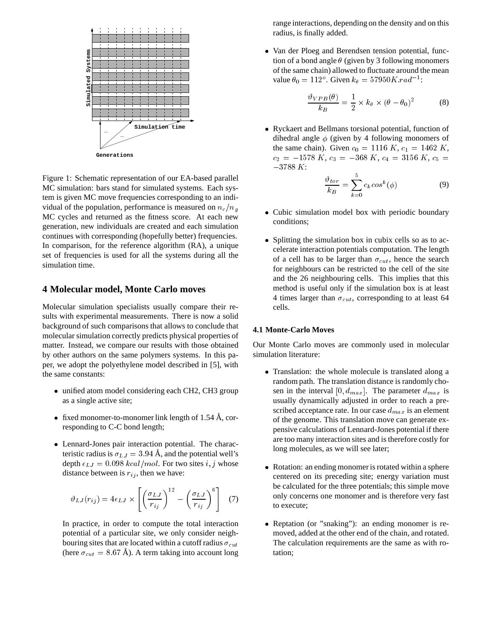

Figure 1: Schematic representation of our EA-based parallel MC simulation: bars stand for simulated systems. Each system is given MC move frequencies corresponding to an individual of the population, performance is measured on  $n_c/n_q$ MC cycles and returned as the fitness score. At each new generation, new individuals are created and each simulation continues with corresponding (hopefully better) frequencies. In comparison, for the reference algorithm (RA), a unique set of frequencies is used for all the systems during all the simulation time.

### **4 Molecular model, Monte Carlo moves**

Molecular simulation specialists usually compare their results with experimental measurements. There is now a solid background of such comparisons that allows to conclude that molecular simulation correctly predicts physical properties of matter. Instead, we compare our results with those obtained by other authors on the same polymers systems. In this paper, we adopt the polyethylene model described in [5], with the same constants:

- unified atom model considering each CH2, CH3 group as a single active site;
- fixed monomer-to-monomer link length of  $1.54 \text{ Å}$ , corresponding to C-C bond length;
- Lennard-Jones pair interaction potential. The characteristic radius is  $\sigma_{LJ} = 3.94$  Å, and the potential well's depth  $\epsilon_{LJ} = 0.098 \, kcal/mol$ . For two sites i, j whose distance between is  $r_{ij}$ , then we have:

$$
\vartheta_{LJ}(r_{ij}) = 4\epsilon_{LJ} \times \left[ \left( \frac{\sigma_{LJ}}{r_{ij}} \right)^{12} - \left( \frac{\sigma_{LJ}}{r_{ij}} \right)^{6} \right] \quad (7)
$$

In practice, in order to compute the total interaction potential of a particular site, we only consider neighbouring sites that are located within a cutoff radius  $\sigma_{cut}$ (here  $\sigma_{cut} = 8.67$  Å). A term taking into account long

range interactions, depending on the density and on this radius, is finally added.

 Van der Ploeg and Berendsen tension potential, function of a bond angle  $\theta$  (given by 3 following monomers of the same chain) allowed to fluctuate around the mean value  $\theta_0 = 112^{\circ}$ . Given  $k_{\theta} = 57950K$ .  $rad^{-1}$ :

$$
\frac{\vartheta_{VPB}(\theta)}{k_B} = \frac{1}{2} \times k_{\theta} \times (\theta - \theta_0)^2 \tag{8}
$$

 Ryckaert and Bellmans torsional potential, function of dihedral angle  $\phi$  (given by 4 following monomers of the same chain). Given  $c_0 = 1116 K$ ,  $c_1 = 1462 K$ ,  $c_2 = -1578 K$ ,  $c_3 = -368 K$ ,  $c_4 = 3156 K$ ,  $c_5 =$  $-3788 K:$ 

$$
\frac{\vartheta_{tor}}{k_B} = \sum_{k=0}^{3} c_k \cos^k(\phi) \tag{9}
$$

- Cubic simulation model box with periodic boundary conditions;
- Splitting the simulation box in cubix cells so as to accelerate interaction potentials computation. The length of a cell has to be larger than  $\sigma_{cut}$ , hence the search for neighbours can be restricted to the cell of the site and the 26 neighbouring cells. This implies that this method is useful only if the simulation box is at least 4 times larger than  $\sigma_{cut}$ , corresponding to at least 64 cells.

#### **4.1 Monte-Carlo Moves**

Our Monte Carlo moves are commonly used in molecular simulation literature:

- Translation: the whole molecule is translated along a random path. The translation distance is randomly chosen in the interval  $[0, d_{max}]$ . The parameter  $d_{max}$  is usually dynamically adjusted in order to reach a prescribed acceptance rate. In our case  $d_{max}$  is an element of the genome. This translation move can generate expensive calculations of Lennard-Jones potential if there are too many interaction sites and is therefore costly for long molecules, as we will see later;
- Rotation: an ending monomer is rotated within a sphere centered on its preceding site; energy variation must be calculated for the three potentials; this simple move only concerns one monomer and is therefore very fast to execute;
- Reptation (or "snaking"): an ending monomer is removed, added at the other end of the chain, and rotated. The calculation requirements are the same as with rotation;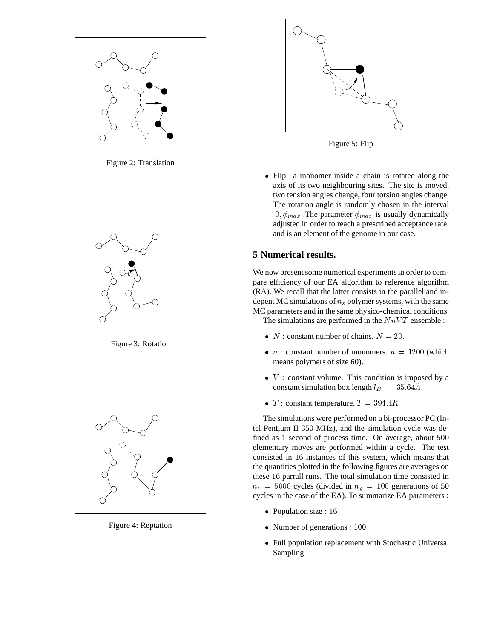

Figure 2: Translation



Figure 3: Rotation



Figure 4: Reptation



Figure 5: Flip

 Flip: a monomer inside a chain is rotated along the axis of its two neighbouring sites. The site is moved, two tension angles change, four torsion angles change. The rotation angle is randomly chosen in the interval  $[0, \phi_{max}]$ . The parameter  $\phi_{max}$  is usually dynamically adjusted in order to reach a prescribed acceptance rate, and is an element of the genome in our case.

## **5 Numerical results.**

We now present some numerical experiments in order to compare efficiency of our EA algorithm to reference algorithm (RA). We recall that the latter consists in the parallel and indepent MC simulations of  $n_s$  polymer systems, with the same MC parameters and in the same physico-chemical conditions. The simulations are performed in the  $N n V T$  ensemble :

- $N$ : constant number of chains.  $N = 20$ .
- *n* : constant number of monomers.  $n = 1200$  (which means polymers of size 60).
- $\bullet$  V : constant volume. This condition is imposed by a constant simulation box length  $l_B = 35.64\text{\AA}$ .
- T : constant temperature.  $T = 394.4K$

The simulations were performed on a bi-processor PC (Intel Pentium II 350 MHz), and the simulation cycle was defined as 1 second of process time. On average, about 500 elementary moves are performed within a cycle. The test consisted in 16 instances of this system, which means that the quantities plotted in the following figures are averages on these 16 parrall runs. The total simulation time consisted in  $n_c = 5000$  cycles (divided in  $n_q = 100$  generations of 50 cycles in the case of the EA). To summarize EA parameters :

- Population size : 16
- Number of generations : 100
- Full population replacement with Stochastic Universal Sampling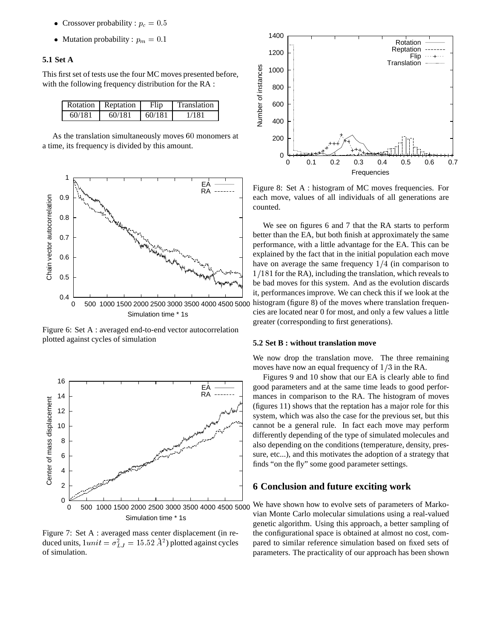- Crossover probability :  $p_c = 0.5$
- Mutation probability :  $p_m = 0.1$

### **5.1 Set A**

This first set of tests use the four MC moves presented before, with the following frequency distribution for the RA :

|        | Rotation Reptation | Flip   | Translation |
|--------|--------------------|--------|-------------|
| 60/181 | 60/181             | 60/181 | 1/181       |

As the translation simultaneously moves <sup>60</sup> monomers at a time, its frequency is divided by this amount.



Figure 6: Set A : averaged end-to-end vector autocorrelation plotted against cycles of simulation



Figure 7: Set A : averaged mass center displacement (in reduced units,  $1 unit = \sigma_{LJ}^2 = 15.52 \,\mathring{A}^2$ ) plotted against cycles of simulation.



Figure 8: Set A : histogram of MC moves frequencies. For each move, values of all individuals of all generations are counted.

We see on figures 6 and 7 that the RA starts to perform better than the EA, but both finish at approximately the same performance, with a little advantage for the EA. This can be explained by the fact that in the initial population each move have on average the same frequency  $1/4$  (in comparison to  $1/181$  for the RA), including the translation, which reveals to be bad moves for this system. And as the evolution discards it, performances improve. We can check this if we look at the histogram (figure 8) of the moves where translation frequencies are located near 0 for most, and only a few values a little greater (corresponding to first generations).

#### **5.2 Set B : without translation move**

We now drop the translation move. The three remaining moves have now an equal frequency of  $1/3$  in the RA.

Figures 9 and 10 show that our EA is clearly able to find good parameters and at the same time leads to good performances in comparison to the RA. The histogram of moves (figures 11) shows that the reptation has a major role for this system, which was also the case for the previous set, but this cannot be a general rule. In fact each move may perform differently depending of the type of simulated molecules and also depending on the conditions (temperature, density, pressure, etc...), and this motivates the adoption of a strategy that finds "on the fly" some good parameter settings.

### **6 Conclusion and future exciting work**

We have shown how to evolve sets of parameters of Markovian Monte Carlo molecular simulations using a real-valued genetic algorithm. Using this approach, a better sampling of the configurational space is obtained at almost no cost, compared to similar reference simulation based on fixed sets of parameters. The practicality of our approach has been shown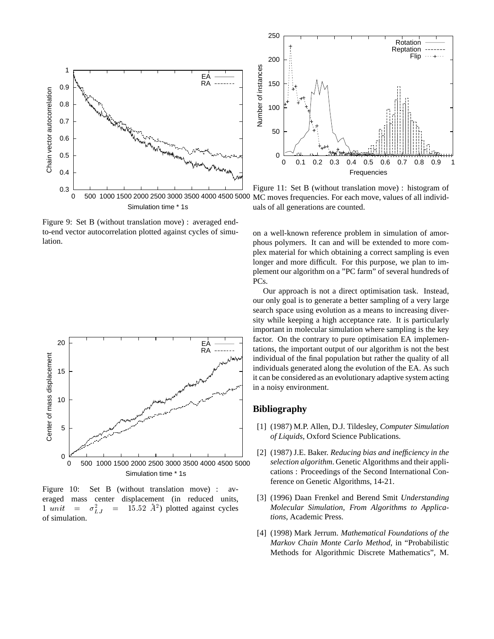

Figure 9: Set B (without translation move) : averaged endto-end vector autocorrelation plotted against cycles of simulation.



Figure 10: Set B (without translation move) : averaged mass center displacement (in reduced units, 1 unit  $=$  $\mathcal{L}_L^2$  = 15.52  $\mathcal{A}^2$ ) plotted against cycles of simulation.



Figure 11: Set B (without translation move) : histogram of MC moves frequencies. For each move, values of all individuals of all generations are counted.

on a well-known reference problem in simulation of amorphous polymers. It can and will be extended to more complex material for which obtaining a correct sampling is even longer and more difficult. For this purpose, we plan to implement our algorithm on a "PC farm" of several hundreds of PCs.

Our approach is not a direct optimisation task. Instead, our only goal is to generate a better sampling of a very large search space using evolution as a means to increasing diversity while keeping a high acceptance rate. It is particularly important in molecular simulation where sampling is the key factor. On the contrary to pure optimisation EA implementations, the important output of our algorithm is not the best individual of the final population but rather the quality of all individuals generated along the evolution of the EA. As such it can be considered as an evolutionary adaptive system acting in a noisy environment.

### **Bibliography**

- [1] (1987) M.P. Allen, D.J. Tildesley, *Computer Simulation of Liquids*, Oxford Science Publications.
- [2] (1987) J.E. Baker. *Reducing bias and inefficiency in the selection algorithm*. Genetic Algorithms and their applications : Proceedings of the Second International Conference on Genetic Algorithms, 14-21.
- [3] (1996) Daan Frenkel and Berend Smit *Understanding Molecular Simulation, From Algorithms to Applications*, Academic Press.
- [4] (1998) Mark Jerrum. *Mathematical Foundations of the Markov Chain Monte Carlo Method*, in "Probabilistic Methods for Algorithmic Discrete Mathematics", M.